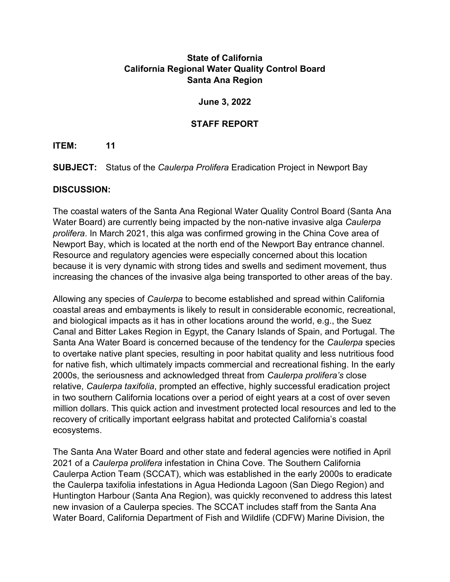# **State of California California Regional Water Quality Control Board Santa Ana Region**

#### **June 3, 2022**

### **STAFF REPORT**

### **ITEM: 11**

**SUBJECT:** Status of the *Caulerpa Prolifera* Eradication Project in Newport Bay

### **DISCUSSION:**

The coastal waters of the Santa Ana Regional Water Quality Control Board (Santa Ana Water Board) are currently being impacted by the non-native invasive alga *Caulerpa prolifera*. In March 2021, this alga was confirmed growing in the China Cove area of Newport Bay, which is located at the north end of the Newport Bay entrance channel. Resource and regulatory agencies were especially concerned about this location because it is very dynamic with strong tides and swells and sediment movement, thus increasing the chances of the invasive alga being transported to other areas of the bay.

Allowing any species of *Caulerpa* to become established and spread within California coastal areas and embayments is likely to result in considerable economic, recreational, and biological impacts as it has in other locations around the world, e.g., the Suez Canal and Bitter Lakes Region in Egypt, the Canary Islands of Spain, and Portugal. The Santa Ana Water Board is concerned because of the tendency for the *Caulerpa* species to overtake native plant species, resulting in poor habitat quality and less nutritious food for native fish, which ultimately impacts commercial and recreational fishing. In the early 2000s, the seriousness and acknowledged threat from *Caulerpa prolifera's* close relative, *Caulerpa taxifolia*, prompted an effective, highly successful eradication project in two southern California locations over a period of eight years at a cost of over seven million dollars. This quick action and investment protected local resources and led to the recovery of critically important eelgrass habitat and protected California's coastal ecosystems.

The Santa Ana Water Board and other state and federal agencies were notified in April 2021 of a *Caulerpa prolifera* infestation in China Cove. The Southern California Caulerpa Action Team (SCCAT), which was established in the early 2000s to eradicate the Caulerpa taxifolia infestations in Agua Hedionda Lagoon (San Diego Region) and Huntington Harbour (Santa Ana Region), was quickly reconvened to address this latest new invasion of a Caulerpa species. The SCCAT includes staff from the Santa Ana Water Board, California Department of Fish and Wildlife (CDFW) Marine Division, the